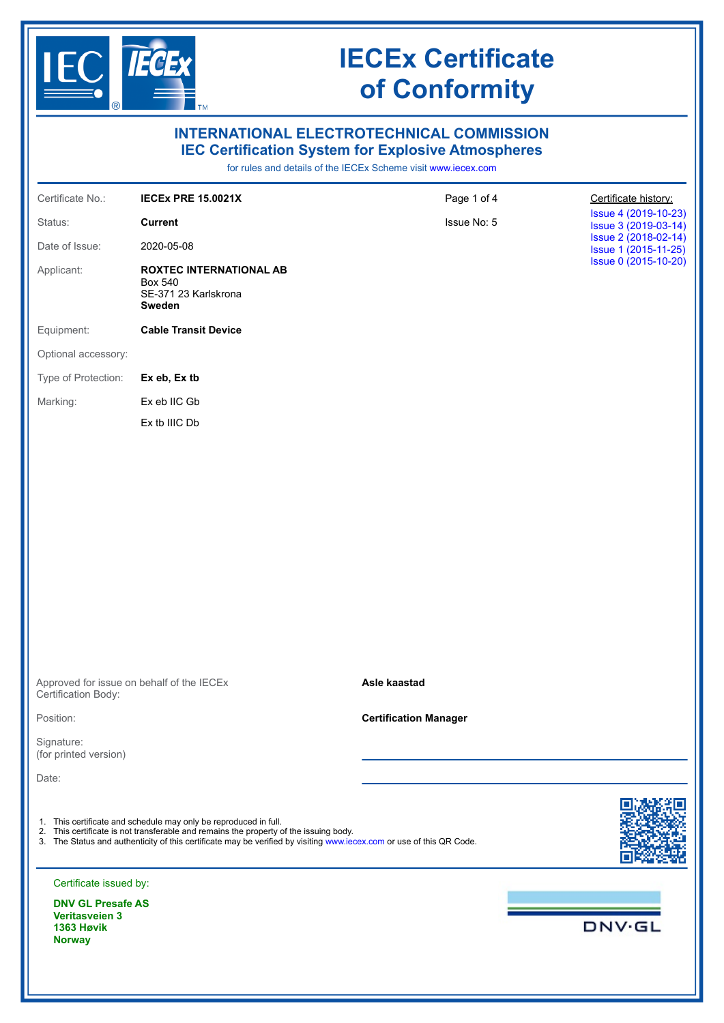

**Norway**

## **IECEx Certificate of Conformity**

| $  \circledR  $                                                  | $\mathsf{Im}\,$                                                                                                                                                                                                                                                                   |                                                                                                                                                                                |                                              |
|------------------------------------------------------------------|-----------------------------------------------------------------------------------------------------------------------------------------------------------------------------------------------------------------------------------------------------------------------------------|--------------------------------------------------------------------------------------------------------------------------------------------------------------------------------|----------------------------------------------|
|                                                                  |                                                                                                                                                                                                                                                                                   | <b>INTERNATIONAL ELECTROTECHNICAL COMMISSION</b><br><b>IEC Certification System for Explosive Atmospheres</b><br>for rules and details of the IECEx Scheme visit www.iecex.com |                                              |
| Certificate No.:                                                 | <b>IECEX PRE 15.0021X</b>                                                                                                                                                                                                                                                         | Page 1 of 4                                                                                                                                                                    | Certificate history:                         |
| Status:                                                          | <b>Current</b>                                                                                                                                                                                                                                                                    | Issue No: 5                                                                                                                                                                    | Issue 4 (2019-10-23)<br>Issue 3 (2019-03-14) |
| Date of Issue:                                                   | 2020-05-08                                                                                                                                                                                                                                                                        |                                                                                                                                                                                | Issue 2 (2018-02-14)<br>Issue 1 (2015-11-25) |
| Applicant:                                                       | <b>ROXTEC INTERNATIONAL AB</b><br><b>Box 540</b><br>SE-371 23 Karlskrona<br>Sweden                                                                                                                                                                                                |                                                                                                                                                                                | Issue 0 (2015-10-20)                         |
| Equipment:                                                       | <b>Cable Transit Device</b>                                                                                                                                                                                                                                                       |                                                                                                                                                                                |                                              |
| Optional accessory:                                              |                                                                                                                                                                                                                                                                                   |                                                                                                                                                                                |                                              |
| Type of Protection:                                              | Ex eb, Ex tb                                                                                                                                                                                                                                                                      |                                                                                                                                                                                |                                              |
| Marking:                                                         | Ex eb IIC Gb                                                                                                                                                                                                                                                                      |                                                                                                                                                                                |                                              |
|                                                                  | Ex tb IIIC Db                                                                                                                                                                                                                                                                     |                                                                                                                                                                                |                                              |
|                                                                  |                                                                                                                                                                                                                                                                                   |                                                                                                                                                                                |                                              |
| Approved for issue on behalf of the IECEx<br>Certification Body: |                                                                                                                                                                                                                                                                                   | Asle kaastad                                                                                                                                                                   |                                              |
| Position:                                                        |                                                                                                                                                                                                                                                                                   | <b>Certification Manager</b>                                                                                                                                                   |                                              |
| Signature:<br>(for printed version)                              |                                                                                                                                                                                                                                                                                   |                                                                                                                                                                                |                                              |
| Date:                                                            |                                                                                                                                                                                                                                                                                   |                                                                                                                                                                                |                                              |
|                                                                  | 1. This certificate and schedule may only be reproduced in full.<br>2. This certificate is not transferable and remains the property of the issuing body.<br>3. The Status and authenticity of this certificate may be verified by visiting www.iecex.com or use of this QR Code. |                                                                                                                                                                                |                                              |
| Certificate issued by:                                           |                                                                                                                                                                                                                                                                                   |                                                                                                                                                                                |                                              |
| <b>DNV GL Presafe AS</b><br><b>Veritasveien 3</b><br>1363 Høvik  |                                                                                                                                                                                                                                                                                   |                                                                                                                                                                                | <b>DNV·GL</b>                                |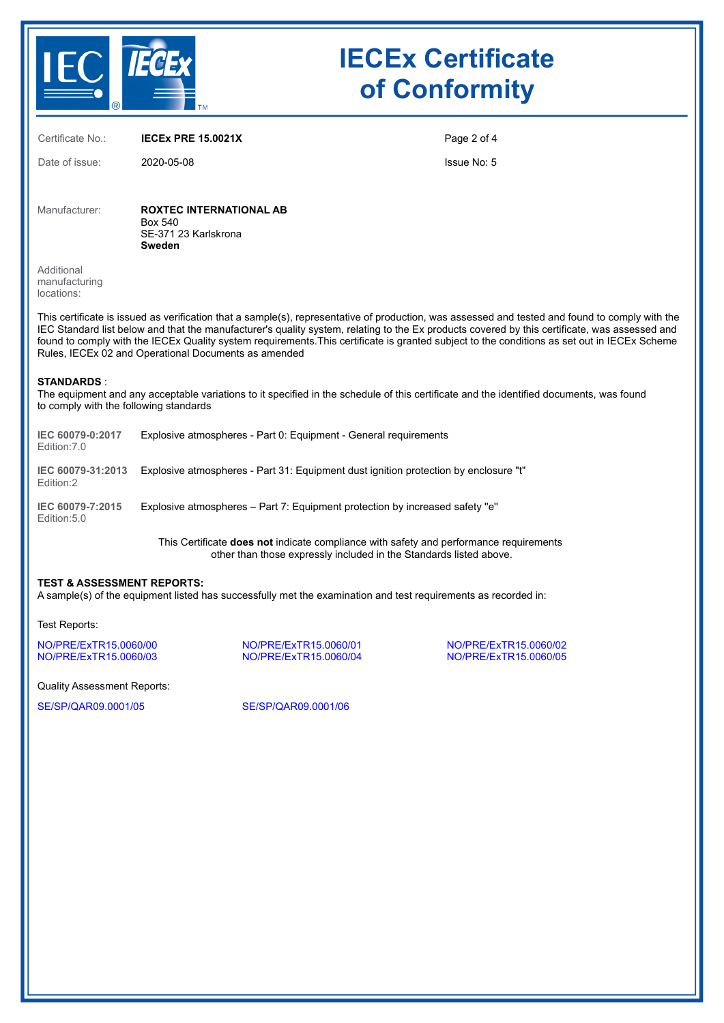

# **IECEx Certificate of Conformity**

Certificate No.: **IECEx PRE 15.0021X**

Date of issue: 2020-05-08

Page 2 of 4

Issue No: 5

Manufacturer: **ROXTEC INTERNATIONAL AB** Box 540 SE-371 23 Karlskrona **Sweden**

Additional manufacturing locations:

This certificate is issued as verification that a sample(s), representative of production, was assessed and tested and found to comply with the IEC Standard list below and that the manufacturer's quality system, relating to the Ex products covered by this certificate, was assessed and found to comply with the IECEx Quality system requirements.This certificate is granted subject to the conditions as set out in IECEx Scheme Rules, IECEx 02 and Operational Documents as amended

#### **STANDARDS** :

The equipment and any acceptable variations to it specified in the schedule of this certificate and the identified documents, was found to comply with the following standards

| IEC 60079-0:2017<br>Edition: 7.0 | Explosive atmospheres - Part 0: Equipment - General requirements                     |
|----------------------------------|--------------------------------------------------------------------------------------|
| IEC 60079-31:2013<br>Edition:2   | Explosive atmospheres - Part 31: Equipment dust ignition protection by enclosure "t" |
| IEC 60079-7:2015<br>Edition: 5.0 | Explosive atmospheres – Part 7: Equipment protection by increased safety "e"         |
|                                  |                                                                                      |

This Certificate **does not** indicate compliance with safety and performance requirements other than those expressly included in the Standards listed above.

### **TEST & ASSESSMENT REPORTS:**

A sample(s) of the equipment listed has successfully met the examination and test requirements as recorded in:

Test Reports:

[NO/PRE/ExTR15.0060/00](https://www.iecex-certs.com/#/deliverables/REPORT/33741/view) [NO/PRE/ExTR15.0060/01](https://www.iecex-certs.com/#/deliverables/REPORT/33742/view) [NO/PRE/ExTR15.0060/02](https://www.iecex-certs.com/#/deliverables/REPORT/33743/view)

[NO/PRE/ExTR15.0060/04](https://www.iecex-certs.com/#/deliverables/REPORT/34360/view)

Quality Assessment Reports:

[SE/SP/QAR09.0001/05](https://www.iecex-certs.com/#/deliverables/REPORT/50115/view) [SE/SP/QAR09.0001/06](https://www.iecex-certs.com/#/deliverables/REPORT/50116/view)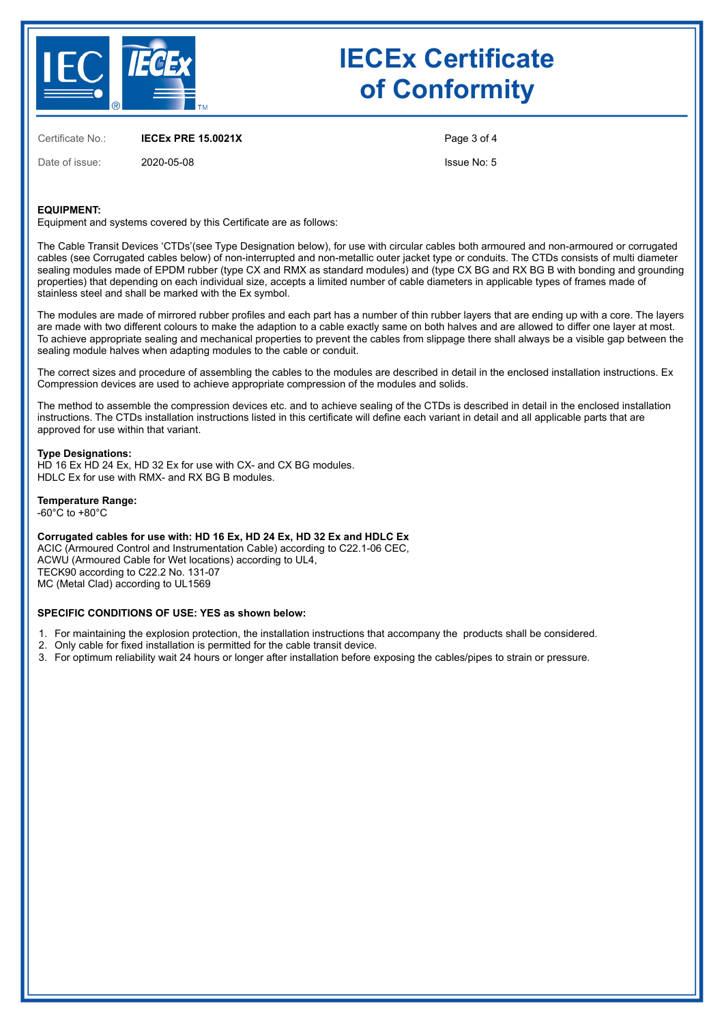

# **IECEx Certificate of Conformity**

Certificate No.: **IECEx PRE 15.0021X**

Date of issue: 2020-05-08

Page 3 of 4

Issue No: 5

### **EQUIPMENT:**

Equipment and systems covered by this Certificate are as follows:

The Cable Transit Devices 'CTDs'(see Type Designation below), for use with circular cables both armoured and non-armoured or corrugated cables (see Corrugated cables below) of non-interrupted and non-metallic outer jacket type or conduits. The CTDs consists of multi diameter sealing modules made of EPDM rubber (type CX and RMX as standard modules) and (type CX BG and RX BG B with bonding and grounding properties) that depending on each individual size, accepts a limited number of cable diameters in applicable types of frames made of stainless steel and shall be marked with the Ex symbol.

The modules are made of mirrored rubber profiles and each part has a number of thin rubber layers that are ending up with a core. The layers are made with two different colours to make the adaption to a cable exactly same on both halves and are allowed to differ one layer at most. To achieve appropriate sealing and mechanical properties to prevent the cables from slippage there shall always be a visible gap between the sealing module halves when adapting modules to the cable or conduit.

The correct sizes and procedure of assembling the cables to the modules are described in detail in the enclosed installation instructions. Ex Compression devices are used to achieve appropriate compression of the modules and solids.

The method to assemble the compression devices etc. and to achieve sealing of the CTDs is described in detail in the enclosed installation instructions. The CTDs installation instructions listed in this certificate will define each variant in detail and all applicable parts that are approved for use within that variant.

#### **Type Designations:**

HD 16 Ex HD 24 Ex, HD 32 Ex for use with CX- and CX BG modules. HDLC Ex for use with RMX- and RX BG B modules.

### **Temperature Range:**

 $-60^{\circ}$ C to  $+80^{\circ}$ C

**Corrugated cables for use with: HD 16 Ex, HD 24 Ex, HD 32 Ex and HDLC Ex**

ACIC (Armoured Control and Instrumentation Cable) according to C22.1-06 CEC, ACWU (Armoured Cable for Wet locations) according to UL4, TECK90 according to C22.2 No. 131-07 MC (Metal Clad) according to UL1569

#### **SPECIFIC CONDITIONS OF USE: YES as shown below:**

- 1. For maintaining the explosion protection, the installation instructions that accompany the products shall be considered.
- 2. Only cable for fixed installation is permitted for the cable transit device.
- 3. For optimum reliability wait 24 hours or longer after installation before exposing the cables/pipes to strain or pressure.